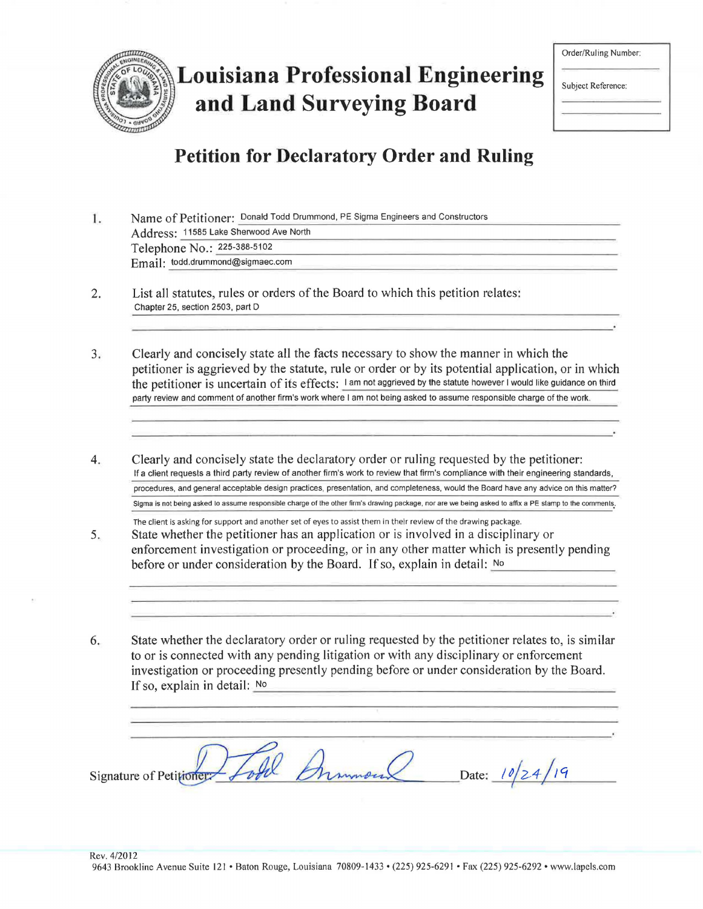

# **Louisiana Professional Engineering and Land Surveying Board**

| Order/Ruling Number: |  |
|----------------------|--|
| Subject Reference:   |  |
|                      |  |

# **Petition for Declaratory Order and Ruling**

|  |                                        | Name of Petitioner: Donald Todd Drummond, PE Sigma Engineers and Constructors |  |
|--|----------------------------------------|-------------------------------------------------------------------------------|--|
|  | Address: 11585 Lake Sherwood Ave North |                                                                               |  |
|  | Telephone No.: 225-388-5102            |                                                                               |  |
|  | Email: todd.drummond@sigmaec.com       |                                                                               |  |

- 2. List all statutes, rules or orders of the Board to which this petition relates: Chapter 25, section 2503, part D
- 3. Clearly and concisely state all the facts necessary to show the manner in which the petitioner is aggrieved by the statute, rule or order or by its potential application, or in which the petitioner is uncertain of its effects: I am not aggrieved by the statute however I would like guidance on third party review and comment of another firm's work where I am not being asked to assume responsible charge of the work.
- 4. Clearly and concisely state the declaratory order or ruling requested by the petitioner: If a client requests a third party review of another firm's work to review that firm's compliance with their engineering standards, procedures, and general acceptable design practices, presentation, and completeness, would the Board have any advice on this matter? Sigma is not being asked to assume responsible charge of the other firm's drawing package, nor are we being asked to affix a PE stamp to the comments.
- 5. The client is asking for support and another set of eyes to assist them in their review of the drawing package. State whether the petitioner has an application or is involved in a disciplinary or enforcement investigation or proceeding, or in any other matter which is presently pending before or under consideration by the Board. If so, explain in detail:  $No$
- 6. State whether the declaratory order or ruling requested by the petitioner relates to, is similar to or is connected with any pending litigation or with any disciplinary or enforcement investigation or proceeding presently pending before or under consideration by the Board.<br>If so, explain in detail: No

Signature of Petitioner Loule Drumous Date: 10/24/19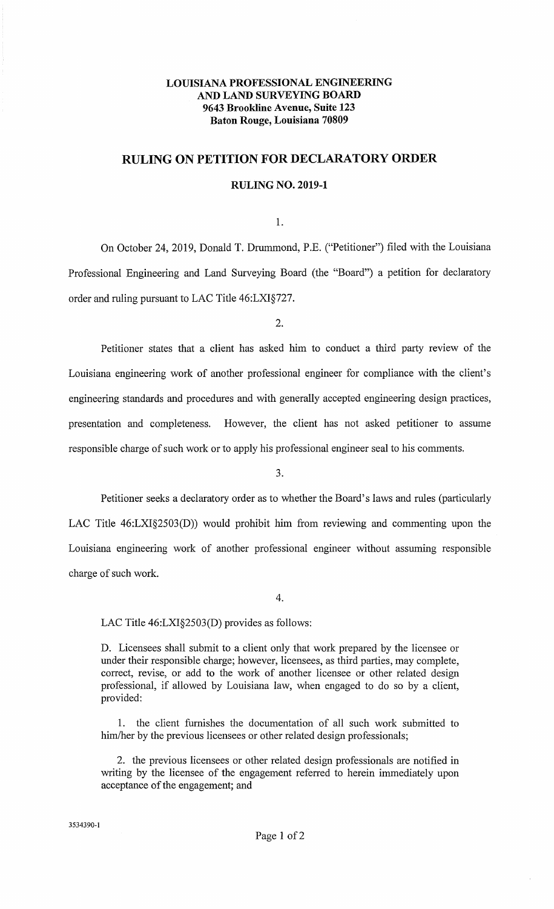## **LOUISIANA PROFESSIONAL ENGINEERING AND LAND SURVEYING BOARD 9643 Brookline Avenue, Suite 123 Baton Rouge, Louisiana 70809**

## **RULING ON PETITION FOR DECLARATORY ORDER**

#### **RULING NO. 2019-1**

1.

On October 24, 2019, Donald T. Drummond, P.E. ("Petitioner") filed with the Louisiana Professional Engineering and Land Surveying Board (the "Board") a petition for declaratory order and ruling pursuant to LAC Title 46:LXI§727.

2.

Petitioner states that a client has asked him to conduct a third party review of the Louisiana engineering work of another professional engineer for compliance with the client's engineering standards and procedures and with generally accepted engineering design practices, presentation and completeness. However, the client has not asked petitioner to assume responsible charge of such work or to apply his professional engineer seal to his comments.

3.

Petitioner seeks a declaratory order as to whether the Board's laws and rules (particularly LAC Title 46:LXI§2503(D)) would prohibit him from reviewing and commenting upon the Louisiana engineering work of another professional engineer without assuming responsible charge of such work.

4.

LAC Title 46:LXI§2503(D) provides as follows:

D. Licensees shall submit to a client only that work prepared by the licensee or under their responsible charge; however, licensees, as third parties, may complete, correct, revise, or add to the work of another licensee or other related design professional, if allowed by Louisiana law, when engaged to do so by a client, provided:

1. the client furnishes the documentation of all such work submitted to him/her by the previous licensees or other related design professionals;

2. the previous licensees or other related design professionals are notified in writing by the licensee of the engagement referred to herein immediately upon acceptance of the engagement; and